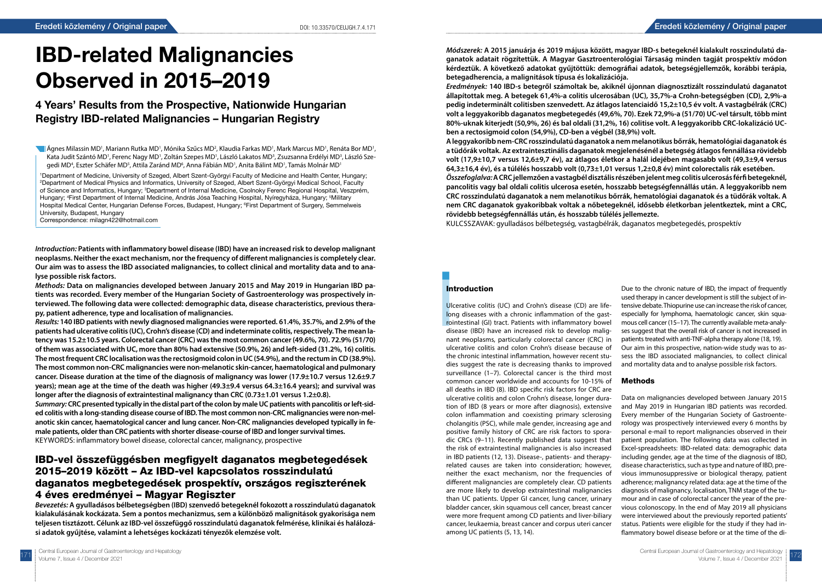

# IBD-related Malignancies Observed in 2015–2019

### 4 Years' Results from the Prospective, Nationwide Hungarian Registry IBD-related Malignancies – Hungarian Registry

Ágnes Milassin MD', Mariann Rutka MD', Mónika Szűcs MD<sup>2</sup>, Klaudia Farkas MD', Mark Marcus MD', Renáta Bor MD', Kata Judit Szántó MD', Ferenc Nagy MD', Zoltán Szepes MD', László Lakatos MD<sup>3</sup>, Zsuzsanna Erdélyi MD<sup>3</sup>, László Szegedi MD<sup>4</sup>, Eszter Schäfer MD<sup>5</sup>, Attila Zaránd MD<sup>6</sup>, Anna Fábián MD<sup>1</sup>, Anita Bálint MD<sup>1</sup>, Tamás Molnár MD<sup>1</sup>

1 Department of Medicine, University of Szeged, Albert Szent-Györgyi Faculty of Medicine and Health Center, Hungary; 2 Department of Medical Physics and Informatics, University of Szeged, Albert Szent-Györgyi Medical School, Faculty of Science and Informatics, Hungary; <sup>3</sup>Department of Internal Medicine, Csolnoky Ferenc Regional Hospital, Veszprém, Hungary; 4 First Department of Internal Medicine, András Jósa Teaching Hospital, Nyíregyháza, Hungary; 5 Military Hospital Medical Center, Hungarian Defense Forces, Budapest, Hungary; <sup>e</sup>First Department of Surgery, Semmelweis University, Budapest, Hungary

Correspondence: milagn422@hotmail.com

*Introduction:* **Patients with inflammatory bowel disease (IBD) have an increased risk to develop malignant neoplasms. Neither the exact mechanism, nor the frequency of different malignancies is completely clear. Our aim was to assess the IBD associated malignancies, to collect clinical and mortality data and to analyse possible risk factors.** 

*Methods:* **Data on malignancies developed between January 2015 and May 2019 in Hungarian IBD patients was recorded. Every member of the Hungarian Society of Gastroenterology was prospectively interviewed. The following data were collected: demographic data, disease characteristics, previous therapy, patient adherence, type and localisation of malignancies.** 

*Results:* **140 IBD patients with newly diagnosed malignancies were reported. 61.4%, 35.7%, and 2.9% of the patients had ulcerative colitis (UC), Crohn's disease (CD) and indeterminate colitis, respectively. The mean latency was 15.2±10.5 years. Colorectal cancer (CRC) was the most common cancer (49.6%, 70). 72.9% (51/70) of them was associated with UC, more than 80% had extensive (50.9%, 26) and left-sided (31.2%, 16) colitis. The most frequent CRC localisation was the rectosigmoid colon in UC (54.9%), and the rectum in CD (38.9%). The most common non-CRC malignancies were non-melanotic skin-cancer, haematological and pulmonary cancer. Disease duration at the time of the diagnosis of malignancy was lower (17.9±10.7 versus 12.6±9.7 years); mean age at the time of the death was higher (49.3±9.4 versus 64.3±16.4 years); and survival was longer after the diagnosis of extraintestinal malignancy than CRC (0.73±1.01 versus 1.2±0.8).** 

*Summary:* **CRC presented typically in the distal part of the colon by male UC patients with pancolitis or left-sided colitis with a long-standing disease course of IBD. The most common non-CRC malignancies were non-melanotic skin cancer, haematological cancer and lung cancer. Non-CRC malignancies developed typically in female patients, older than CRC patients with shorter disease-course of IBD and longer survival times.**  KEYWORDS: inflammatory bowel disease, colorectal cancer, malignancy, prospective

### IBD-vel összefüggésben megfigyelt daganatos megbetegedések 2015–2019 között – Az IBD-vel kapcsolatos rosszindulatú daganatos megbetegedések prospektív, országos regiszterének 4 éves eredményei – Magyar Regiszter

*Bevezetés:* **A gyulladásos bélbetegségben (IBD) szenvedő betegeknél fokozott a rosszindulatú daganatok kialakulásának kockázata. Sem a pontos mechanizmus, sem a különböző malignitások gyakorisága nem teljesen tisztázott. Célunk az IBD-vel összefüggő rosszindulatú daganatok felmérése, klinikai és halálozási adatok gyűjtése, valamint a lehetséges kockázati tényezők elemzése volt.** 

**Int**<br>
Ulc<br>
lon<br>
roir<br>
dis<br>
nar Ulcerative colitis (UC) and Crohn's disease (CD) are lifelong diseases with a chronic inflammation of the gastrointestinal (GI) tract. Patients with inflammatory bowel disease (IBD) have an increased risk to develop malignant neoplasms, particularly colorectal cancer (CRC) in ulcerative colitis and colon Crohn's disease because of the chronic intestinal inflammation, however recent studies suggest the rate is decreasing thanks to improved surveillance (1–7). Colorectal cancer is the third most common cancer worldwide and accounts for 10-15% of all deaths in IBD (8). IBD specific risk factors for CRC are ulcerative colitis and colon Crohn's disease, longer duration of IBD (8 years or more after diagnosis), extensive colon inflammation and coexisting primary sclerosing cholangitis (PSC), while male gender, increasing age and positive family history of CRC are risk factors to sporadic CRCs (9–11). Recently published data suggest that the risk of extraintestinal malignancies is also increased in IBD patients (12, 13). Disease-, patients- and therapyrelated causes are taken into consideration; however, neither the exact mechanism, nor the frequencies of different malignancies are completely clear. CD patients are more likely to develop extraintestinal malignancies than UC patients. Upper GI cancer, lung cancer, urinary bladder cancer, skin squamous cell cancer, breast cancer were more frequent among CD patients and liver-biliary cancer, leukaemia, breast cancer and corpus uteri cancer among UC patients (5, 13, 14). especially for lymphoma, haematologic cancer, skin squamous cell cancer (15–17). The currently available meta-analyses suggest that the overall risk of cancer is not increased in patients treated with anti-TNF-alpha therapy alone (18, 19). Our aim in this prospective, nation-wide study was to assess the IBD associated malignancies, to collect clinical and mortality data and to analyse possible risk factors. Methods Data on malignancies developed between January 2015 and May 2019 in Hungarian IBD patients was recorded. Every member of the Hungarian Society of Gastroenterology was prospectively interviewed every 6 months by personal e-mail to report malignancies observed in their patient population. The following data was collected in Excel-spreadsheets: IBD-related data: demographic data including gender, age at the time of the diagnosis of IBD, disease characteristics, such as type and nature of IBD, previous immunosuppressive or biological therapy, patient adherence; malignancy related data: age at the time of the diagnosis of malignancy, localisation, TNM stage of the tumour and in case of colorectal cancer the year of the previous colonoscopy. In the end of May 2019 all physicians were interviewed about the previously reported patients' status. Patients were eligible for the study if they had inflammatory bowel disease before or at the time of the di-

*Módszerek:* **A 2015 januárja és 2019 májusa között, magyar IBD-s betegeknél kialakult rosszindulatú daganatok adatait rögzítettük. A Magyar Gasztroenterológiai Társaság minden tagját prospektív módon kérdeztük. A következő adatokat gyűjtöttük: demográfiai adatok, betegségjellemzők, korábbi terápia, betegadherencia, a malignitások típusa és lokalizációja.**  *Eredmények:* **140 IBD-s betegről számoltak be, akiknél újonnan diagnosztizált rosszindulatú daganatot állapítottak meg. A betegek 61,4%-a colitis ulcerosában (UC), 35,7%-a Crohn-betegségben (CD), 2,9%-a pedig indeterminált colitisben szenvedett. Az átlagos latenciaidő 15,2±10,5 év volt. A vastagbélrák (CRC) volt a leggyakoribb daganatos megbetegedés (49,6%, 70). Ezek 72,9%-a (51/70) UC-vel társult, több mint 80%-uknak kiterjedt (50,9%, 26) és bal oldali (31,2%, 16) colitise volt. A leggyakoribb CRC-lokalizáció UCben a rectosigmoid colon (54,9%), CD-ben a végbél (38,9%) volt. A leggyakoribb nem-CRC rosszindulatú daganatok a nem melanotikus bőrrák, hematológiai daganatok és a tüdőrák voltak. Az extraintesztinális daganatok megjelenésénél a betegség átlagos fennállása rövidebb volt (17,9±10,7 versus 12,6±9,7 év), az átlagos életkor a halál idejében magasabb volt (49,3±9,4 versus 64,3±16,4 év), és a túlélés hosszabb volt (0,73±1,01 versus 1,2±0,8 év) mint colorectalis rák esetében.**  *Összefoglalva:* **A CRC jellemzően a vastagbél disztális részében jelent meg colitis ulcerosás férfi betegeknél, pancolitis vagy bal oldali colitis ulcerosa esetén, hosszabb betegségfennállás után. A leggyakoribb nem CRC rosszindulatú daganatok a nem melanotikus bőrrák, hematológiai daganatok és a tüdőrák voltak. A nem CRC daganatok gyakoribbak voltak a nőbetegeknél, idősebb életkorban jelentkeztek, mint a CRC, rövidebb betegségfennállás után, és hosszabb túlélés jellemezte.** KULCSSZAVAK: gyulladásos bélbetegség, vastagbélrák, daganatos megbetegedés, prospektív

#### **Introduction**

Due to the chronic nature of IBD, the impact of frequently used therapy in cancer development is still the subject of intensive debate. Thiopurine use can increase the risk of cancer,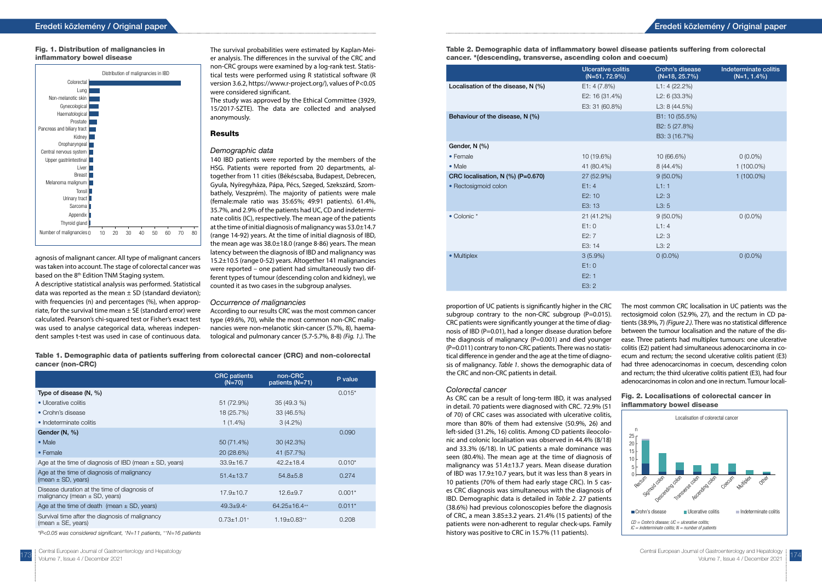agnosis of malignant cancer. All type of malignant cancers was taken into account. The stage of colorectal cancer was based on the 8<sup>th</sup> Edition TNM Staging system.

A descriptive statistical analysis was performed. Statistical data was reported as the mean  $\pm$  SD (standard deviaton); with frequencies (n) and percentages (%), when appropriate, for the survival time mean  $\pm$  SE (standard error) were calculated. Pearson's chi-squared test or Fisher's exact test was used to analyse categorical data, whereas independent samples t-test was used in case of continuous data.

The survival probabilities were estimated by Kaplan-Meier analysis. The differences in the survival of the CRC and non-CRC groups were examined by a log-rank test. Statistical tests were performed using R statistical software (R version 3.6.2, https://www.r-project.org/), values of P<0.05 were considered significant.

The study was approved by the Ethical Committee (3929, 15/2017-SZTE). The data are collected and analysed anonymously.

#### Results

#### Demographic data

140 IBD patients were reported by the members of the HSG. Patients were reported from 20 departments, altogether from 11 cities (Békéscsaba, Budapest, Debrecen, Gyula, Nyíregyháza, Pápa, Pécs, Szeged, Szekszárd, Szombathely, Veszprém). The majority of patients were male (female:male ratio was 35:65%; 49:91 patients). 61.4%, 35.7%, and 2.9% of the patients had UC, CD and indeterminate colitis (IC), respectively. The mean age of the patients at the time of initial diagnosis of malignancy was 53.0±14.7 (range 14-92) years. At the time of initial diagnosis of IBD, the mean age was 38.0±18.0 (range 8-86) years. The mean latency between the diagnosis of IBD and malignancy was 15.2±10.5 (range 0-52) years. Altogether 141 malignancies were reported – one patient had simultaneously two different types of tumour (descending colon and kidney), we counted it as two cases in the subgroup analyses.

#### Occurrence of malignancies

According to our results CRC was the most common cancer type (49.6%, 70), while the most common non-CRC malignancies were non-melanotic skin-cancer (5.7%, 8), haematological and pulmonary cancer (5.7-5.7%, 8-8) *(Fig. 1.).* The

Table 1. Demographic data of patients suffering from colorectal cancer (CRC) and non-colorectal cancer (non-CRC)

|                                                                                   | <b>CRC</b> patients<br>$(N=70)$ | non-CRC<br>patients (N=71) | P value  |
|-----------------------------------------------------------------------------------|---------------------------------|----------------------------|----------|
| Type of disease $(N, \%)$                                                         |                                 |                            | $0.015*$ |
| • Ulcerative colitis                                                              | 51 (72.9%)                      | $35(49.3\%)$               |          |
| • Crohn's disease                                                                 | 18 (25.7%)                      | 33 (46.5%)                 |          |
| • Indeterminate colitis                                                           | $1(1.4\%)$                      | $3(4.2\%)$                 |          |
| Gender (N, %)                                                                     |                                 |                            | 0.090    |
| • Male                                                                            | 50 (71.4%)                      | 30 (42.3%)                 |          |
| • Female                                                                          | 20 (28.6%)                      | 41 (57.7%)                 |          |
| Age at the time of diagnosis of IBD (mean $\pm$ SD, years)                        | $33.9 \pm 16.7$                 | $42.2 \pm 18.4$            | $0.010*$ |
| Age at the time of diagnosis of malignancy<br>$(mean \pm SD, \text{years})$       | $51.4 \pm 13.7$                 | $54.8 \pm 5.8$             | 0.274    |
| Disease duration at the time of diagnosis of<br>malignancy (mean $\pm$ SD, years) | $17.9 \pm 10.7$                 | $12.6 + 9.7$               | $0.001*$ |
| Age at the time of death (mean $\pm$ SD, years)                                   | $49.3 + 9.4$ <sup>+</sup>       | $64.25 \pm 16.4^{++}$      | $0.011*$ |
| Survival time after the diagnosis of malignancy<br>$(mean \pm SE, \gamma ear)$    | $0.73 \pm 1.01$ <sup>+</sup>    | $1.19 \pm 0.83^{++}$       | 0.208    |

\*P<0.05 was considered significant, +N=11 patients, ++N=16 patients



#### Fig. 1. Distribution of malignancies in inflammatory bowel disease

proportion of UC patients is significantly higher in the CRC subgroup contrary to the non-CRC subgroup  $(P=0.015)$ . CRC patients were significantly younger at the time of diagnosis of IBD (P=0.01), had a longer disease duration before the diagnosis of malignancy  $(P=0.001)$  and died younger (P=0.011) contrary to non-CRC patients. There was no statistical difference in gender and the age at the time of diagnosis of malignancy. *Table 1.* shows the demographic data of the CRC and non-CRC patients in detail.

#### Colorectal cancer

As CRC can be a result of long-term IBD, it was analysed in detail. 70 patients were diagnosed with CRC. 72.9% (51 of 70) of CRC cases was associated with ulcerative colitis, more than 80% of them had extensive (50.9%, 26) and left-sided (31.2%, 16) colitis. Among CD patients ileocolonic and colonic localisation was observed in 44.4% (8/18) and 33.3% (6/18). In UC patients a male dominance was seen (80.4%). The mean age at the time of diagnosis of malignancy was 51.4±13.7 years. Mean disease duration of IBD was 17.9±10.7 years, but it was less than 8 years in 10 patients (70% of them had early stage CRC). In 5 cases CRC diagnosis was simultaneous with the diagnosis of IBD. Demographic data is detailed in *Table 2.* 27 patients (38.6%) had previous colonoscopies before the diagnosis of CRC, a mean 3.85±3.2 years. 21.4% (15 patients) of the patients were non-adherent to regular check-ups. Family history was positive to CRC in 15.7% (11 patients).

The most common CRC localisation in UC patients was the rectosigmoid colon (52.9%, 27), and the rectum in CD patients (38.9%, 7) *(Figure 2.).* There was no statistical difference between the tumour localisation and the nature of the disease. Three patients had multiplex tumours: one ulcerative colitis (E2) patient had simultaneous adenocarcinoma in coecum and rectum; the second ulcerative colitis patient (E3) had three adenocarcinomas in coecum, descending colon and rectum; the third ulcerative colitis patient (E3), had four adenocarcinomas in colon and one in rectum. Tumour locali-

#### Table 2. Demographic data of inflammatory bowel disease patients suffering from colorectal cancer. \*(descending, transverse, ascending colon and coecum)

|                                    | <b>Ulcerative colitis</b><br>$(N=51, 72.9\%)$ | Crohn's disease<br>$(N=18, 25.7%)$ | Indeterminate colitis<br>$(N=1, 1.4\%)$ |
|------------------------------------|-----------------------------------------------|------------------------------------|-----------------------------------------|
| Localisation of the disease, N (%) | E1: $4(7.8%)$                                 | L1: 4(22.2%)                       |                                         |
|                                    | E2: 16 (31.4%)                                | L2: 6 (33.3%)                      |                                         |
|                                    | E3: 31 (60.8%)                                | L3: $8(44.5%)$                     |                                         |
| Behaviour of the disease, N (%)    |                                               | B1: 10 (55.5%)                     |                                         |
|                                    |                                               | B2: 5 (27.8%)                      |                                         |
|                                    |                                               | B3: 3 (16.7%)                      |                                         |
| Gender, N (%)                      |                                               |                                    |                                         |
| • Female                           | 10 (19.6%)                                    | 10 (66.6%)                         | $0(0.0\%)$                              |
| • Male                             | 41 (80.4%)                                    | 8 (44.4%)                          | $1(100.0\%)$                            |
| CRC localisation, N (%) (P=0.670)  | 27 (52.9%)                                    | $9(50.0\%)$                        | $1(100.0\%)$                            |
| • Rectosigmoid colon               | E1:4                                          | L1:1                               |                                         |
|                                    | E2:10                                         | L2:3                               |                                         |
|                                    | E3: 13                                        | L3:5                               |                                         |
| • Colonic *                        | 21 (41.2%)                                    | $9(50.0\%)$                        | $0(0.0\%)$                              |
|                                    | E1:0                                          | L1:4                               |                                         |
|                                    | E2:7                                          | L2:3                               |                                         |
|                                    | E3: 14                                        | L3:2                               |                                         |
| • Multiplex                        | $3(5.9\%)$                                    | $0(0.0\%)$                         | $0(0.0\%)$                              |
|                                    | E1:0                                          |                                    |                                         |
|                                    | E2:1                                          |                                    |                                         |
|                                    |                                               |                                    |                                         |

|                                    | <b>Ulcerative colitis</b><br>$(N=51, 72.9\%)$ | Crohn's disease<br>$(N=18, 25.7\%)$ | Indeterminate colitis<br>$(N=1, 1.4\%)$ |
|------------------------------------|-----------------------------------------------|-------------------------------------|-----------------------------------------|
| Localisation of the disease, N (%) | E1: 4 (7.8%)                                  | L1: 4(22.2%)                        |                                         |
|                                    | E2: 16 (31.4%)                                | L2: 6 (33.3%)                       |                                         |
|                                    | E3: 31 (60.8%)                                | L3: $8(44.5%)$                      |                                         |
| Behaviour of the disease, N (%)    |                                               | B1: 10 (55.5%)                      |                                         |
|                                    |                                               | B2: 5 (27.8%)                       |                                         |
|                                    |                                               | B3: 3 (16.7%)                       |                                         |
| Gender, N (%)                      |                                               |                                     |                                         |
| $\bullet$ Female                   | 10 (19.6%)                                    | 10 (66.6%)                          | $0(0.0\%)$                              |
| • Male                             | 41 (80.4%)                                    | 8 (44.4%)                           | $1(100.0\%)$                            |
| CRC localisation, N (%) (P=0.670)  | 27 (52.9%)                                    | $9(50.0\%)$                         | $1(100.0\%)$                            |
| • Rectosigmoid colon               | E1:4                                          | L1:1                                |                                         |
|                                    | E2: 10                                        | L2:3                                |                                         |
|                                    | E3: 13                                        | L3:5                                |                                         |
| $\bullet$ Colonic $*$              | 21 (41.2%)                                    | $9(50.0\%)$                         | $0(0.0\%)$                              |
|                                    | E1:0                                          | L1:4                                |                                         |
|                                    | E2:7                                          | L2:3                                |                                         |
|                                    | E3:14                                         | L3:2                                |                                         |
| • Multiplex                        | $3(5.9\%)$                                    | $0(0.0\%)$                          | $0(0.0\%)$                              |
|                                    | E1:0                                          |                                     |                                         |
|                                    | E2: 1                                         |                                     |                                         |
|                                    | E3:2                                          |                                     |                                         |



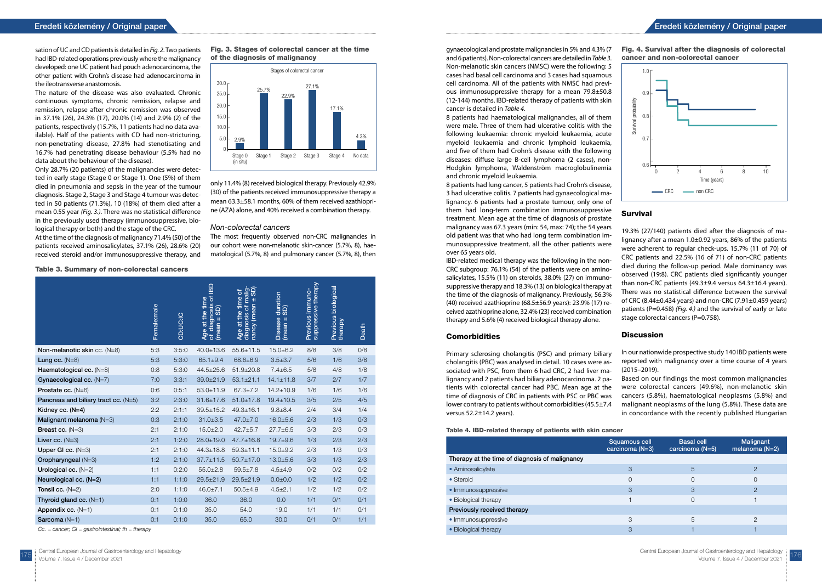sation of UC and CD patients is detailed in *Fig. 2*. Two patients had IBD-related operations previously where the malignancy developed: one UC patient had pouch adenocarcinoma, the other patient with Crohn's disease had adenocarcinoma in the ileotransverse anastomosis.

The nature of the disease was also evaluated. Chronic continuous symptoms, chronic remission, relapse and remission, relapse after chronic remission was observed in 37.1% (26), 24.3% (17), 20.0% (14) and 2.9% (2) of the patients, respectively (15.7%, 11 patients had no data available). Half of the patients with CD had non-stricturing, non-penetrating disease, 27.8% had stenotisating and 16.7% had penetrating disease behaviour (5.5% had no data about the behaviour of the disease).

Only 28.7% (20 patients) of the malignancies were detected in early stage (Stage 0 or Stage 1). One (5%) of them died in pneumonia and sepsis in the year of the tumour diagnosis. Stage 2, Stage 3 and Stage 4 tumour was detected in 50 patients (71.3%), 10 (18%) of them died after a mean 0.55 year *(Fig. 3.)*. There was no statistical difference in the previously used therapy (immunosuppressive, biological therapy or both) and the stage of the CRC.

At the time of the diagnosis of malignancy 71.4% (50) of the patients received aminosalicylates, 37.1% (26), 28.6% (20) received steroid and/or immunosuppressive therapy, and

only 11.4% (8) received biological therapy. Previously 42.9% (30) of the patients received immunosuppressive therapy a mean 63.3±58.1 months, 60% of them received azathioprine (AZA) alone, and 40% received a combination therapy.

#### Non-colorectal cancers

The most frequently observed non-CRC malignancies in our cohort were non-melanotic skin-cancer (5.7%, 8), haematological (5.7%, 8) and pulmonary cancer (5.7%, 8), then

Table 3. Summary of non-colorectal cancers

|                                      | Female:male | CD:UC:IC | $\mathbf{B}$<br>$\overline{\sigma}$<br>Age at the time<br>diagnosis<br>GD<br>$\overline{H}$<br>(mean<br>৳ | diagnosis of malig-<br>nancy (mean ± SD)<br>৳<br>Age at the time<br>nancy (mean | duration<br>G <sub>D</sub><br><b>Disease</b><br>$(mean \pm$ | suppressive therapy<br>Previous immuno- | biological<br>Previous<br>therapy | Death |
|--------------------------------------|-------------|----------|-----------------------------------------------------------------------------------------------------------|---------------------------------------------------------------------------------|-------------------------------------------------------------|-----------------------------------------|-----------------------------------|-------|
| Non-melanotic skin cc. (N=8)         | 5:3         | 3:5:0    | $40.0 \pm 13.6$                                                                                           | $55.6 \pm 11.5$                                                                 | $15.0 + 6.2$                                                | 8/8                                     | 3/8                               | O/8   |
| Lung cc. $(N=8)$                     | 5:3         | 5:3:0    | $65.1 \pm 9.4$                                                                                            | 68.6±6.9                                                                        | $3.5 \pm 3.7$                                               | 5/6                                     | 1/6                               | 3/8   |
| Haematological cc. (N=8)             | 0:8         | 5:3:0    | $44.5 \pm 25.6$                                                                                           | $51.9 \pm 20.8$                                                                 | $7.4 \pm 6.5$                                               | 5/8                                     | 4/8                               | 1/8   |
| Gynaecological cc. (N=7)             | 7:0         | 3:3:1    | $39.0 \pm 21.9$                                                                                           | $53.1 \pm 21.1$                                                                 | $14.1 \pm 11.8$                                             | 3/7                                     | 2/7                               | 1/7   |
| Prostate cc. $(N=6)$                 | 0:6         | 0:5:1    | $53.0 \pm 11.9$                                                                                           | $67.3 \pm 7.2$                                                                  | $14.2 \pm 10.9$                                             | 1/6                                     | 1/6                               | 1/6   |
| Pancreas and biliary tract cc. (N=5) | 3:2         | 2:3:0    | $31.6 \pm 17.6$                                                                                           | $51.0 \pm 17.8$                                                                 | $19.4 \pm 10.5$                                             | 3/5                                     | 2/5                               | 4/5   |
| Kidney cc. $(N=4)$                   | 2:2         | 2:1:1    | $39.5 \pm 15.2$                                                                                           | $49.3 \pm 16.1$                                                                 | $9.8 + 8.4$                                                 | 2/4                                     | 3/4                               | 1/4   |
| Malignant melanoma (N=3)             | 0:3         | 2:1:0    | $31.0 \pm 3.5$                                                                                            | $47.0 \pm 7.0$                                                                  | $16.0 + 5.6$                                                | 2/3                                     | 1/3                               | O/3   |
| Breast cc. $(N=3)$                   | 2:1         | 2:1:0    | $15.0 \pm 2.0$                                                                                            | $42.7 + 5.7$                                                                    | $27.7 \pm 6.5$                                              | 3/3                                     | 2/3                               | O/3   |
| Liver cc. $(N=3)$                    | 2:1         | 1:2:0    | $28.0 + 19.0$                                                                                             | $47.7 \pm 16.8$                                                                 | $19.7 + 9.6$                                                | 1/3                                     | 2/3                               | 2/3   |
| Upper GI cc. $(N=3)$                 | 2:1         | 2:1:0    | $44.3 \pm 18.8$                                                                                           | $59.3 + 11.1$                                                                   | $15.0 + 9.2$                                                | 2/3                                     | 1/3                               | O/3   |
| Oropharyngeal (N=3)                  | 1:2         | 2:1:0    | $37.7 \pm 11.5$                                                                                           | $50.7 \pm 17.0$                                                                 | $13.0 + 5.6$                                                | 3/3                                     | 1/3                               | 2/3   |
| Urological cc. $(N=2)$               | 1:1         | 0:2:0    | $55.0 \pm 2.8$                                                                                            | $59.5 \pm 7.8$                                                                  | $4.5 + 4.9$                                                 | O/2                                     | 0/2                               | 0/2   |
| Neurological cc. (N=2)               | 1:1         | 1:1:0    | $29.5 \pm 21.9$                                                                                           | $29.5 \pm 21.9$                                                                 | $0.0 + 0.0$                                                 | 1/2                                     | 1/2                               | O/2   |
| Tonsil cc. $(N=2)$                   | 2:0         | 1:1:0    | $46.0 \pm 7.1$                                                                                            | $50.5 \pm 4.9$                                                                  | $4.5 \pm 2.1$                                               | 1/2                                     | 1/2                               | O/2   |
| Thyroid gland cc. $(N=1)$            | 0:1         | 1:0:0    | 36.0                                                                                                      | 36.0                                                                            | 0.0                                                         | 1/1                                     | O/1                               | O/1   |
| Appendix cc. $(N=1)$                 | 0:1         | 0:1:0    | 35.0                                                                                                      | 54.0                                                                            | 19.0                                                        | 1/1                                     | 1/1                               | O/1   |
| Sarcoma (N=1)                        | 0:1         | 0:1:0    | 35.0                                                                                                      | 65.0                                                                            | 30.0                                                        | 0/1                                     | O/1                               | 1/1   |
|                                      |             |          |                                                                                                           |                                                                                 |                                                             |                                         |                                   |       |

Cc. = cancer;  $GI =$  gastrointestinal; th = therapy

19.3% (27/140) patients died after the diagnosis of malignancy after a mean 1.0±0.92 years, 86% of the patients were adherent to regular check-ups. 15.7% (11 of 70) of CRC patients and 22.5% (16 of 71) of non-CRC patients died during the follow-up period. Male dominancy was observed (19:8). CRC patients died significantly younger than non-CRC patients  $(49.3\pm9.4 \text{ versus } 64.3\pm16.4 \text{ years}).$ There was no statistical difference between the survival of CRC (8.44±0.434 years) and non-CRC (7.91±0.459 years) patients (P=0.458) *(Fig. 4.)* and the survival of early or late stage colorectal cancers (P=0.758).

#### **Discussion**



#### Fig. 3. Stages of colorectal cancer at the time of the diagnosis of malignancy

gynaecological and prostate malignancies in 5% and 4.3% (7 and 6 patients). Non-colorectal cancers are detailed in *Table 3*. Non-melanotic skin cancers (NMSC) were the following: 5 cases had basal cell carcinoma and 3 cases had squamous cell carcinoma. All of the patients with NMSC had previous immunosuppressive therapy for a mean 79.8±50.8 (12-144) months. IBD-related therapy of patients with skin cancer is detailed in *Table 4.*

8 patients had haematological malignancies, all of them were male. Three of them had ulcerative colitis with the following leukaemia: chronic myeloid leukaemia, acute myeloid leukaemia and chronic lymphoid leukaemia, and five of them had Crohn's disease with the following diseases: diffuse large B-cell lymphoma (2 cases), non-Hodgkin lymphoma, Waldenström macroglobulinemia and chronic myeloid leukaemia.

8 patients had lung cancer, 5 patients had Crohn's disease, 3 had ulcerative colitis. 7 patients had gynaecological malignancy. 6 patients had a prostate tumour, only one of them had long-term combination immunosuppressive treatment. Mean age at the time of diagnosis of prostate malignancy was 67.3 years (min: 54, max: 74); the 54 years old patient was that who had long term combination immunosuppressive treatment, all the other patients were over 65 years old.

IBD-related medical therapy was the following in the non-CRC subgroup: 76.1% (54) of the patients were on aminosalicylates, 15.5% (11) on steroids, 38.0% (27) on immunosuppressive therapy and 18.3% (13) on biological therapy at the time of the diagnosis of malignancy. Previously, 56.3% (40) received azathioprine (68.5±56.9 years): 23.9% (17) received azathioprine alone, 32.4% (23) received combination therapy and 5.6% (4) received biological therapy alone.

#### **Comorbidities**

#### Survival

Primary sclerosing cholangitis (PSC) and primary biliary cholangitis (PBC) was analysed in detail. 10 cases were associated with PSC, from them 6 had CRC, 2 had liver malignancy and 2 patients had biliary adenocarcinoma. 2 patients with colorectal cancer had PBC. Mean age at the time of diagnosis of CRC in patients with PSC or PBC was lower contrary to patients without comorbidities (45.5±7.4 versus 52.2±14.2 years). reported with malignancy over a time course of 4 years (2015–2019). Based on our findings the most common malignancies were colorectal cancers (49.6%), non-melanotic skin cancers (5.8%), haematological neoplasms (5.8%) and malignant neoplasms of the lung (5.8%). These data are in concordance with the recently published Hungarian

In our nationwide prospective study 140 IBD patients were

Table 4. IBD-related therapy of patients with skin cancer

|                                                | Squamous cell<br>carcinoma (N=3) | <b>Basal cell</b><br>carcinoma $(N=5)$ | Malignant<br>melanoma $(N=2)$ |
|------------------------------------------------|----------------------------------|----------------------------------------|-------------------------------|
| Therapy at the time of diagnosis of malignancy |                                  |                                        |                               |
| • Aminosalicylate                              | 3                                | 5                                      | $\mathcal{P}$                 |
| $\bullet$ Steroid                              | 0                                | 0                                      | 0                             |
| · Immunosuppressive                            | 3                                | 3                                      | $\mathcal{P}$                 |
| • Biological therapy                           |                                  | 0                                      |                               |
| Previously received therapy                    |                                  |                                        |                               |
| • Immunosuppressive                            | 3                                | 5                                      | っ                             |
| • Biological therapy                           | 3                                |                                        |                               |



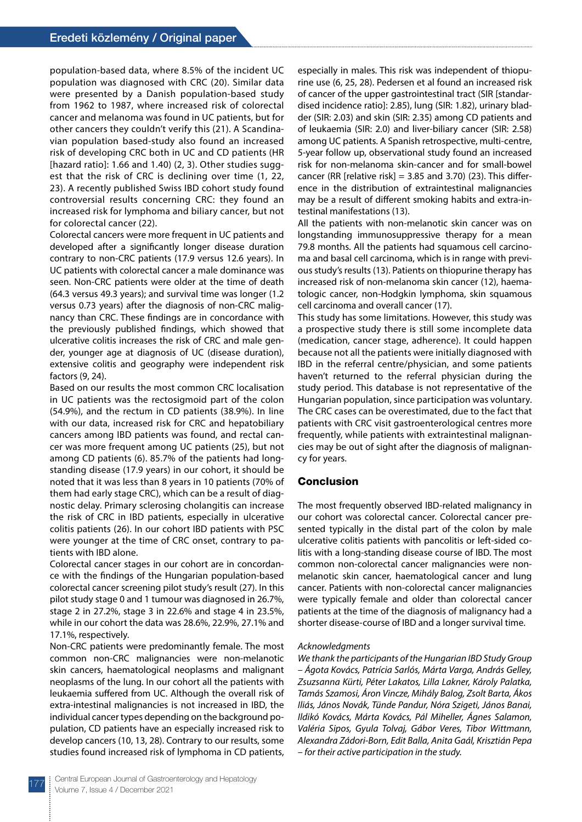population-based data, where 8.5% of the incident UC population was diagnosed with CRC (20). Similar data were presented by a Danish population-based study from 1962 to 1987, where increased risk of colorectal cancer and melanoma was found in UC patients, but for other cancers they couldn't verify this (21). A Scandinavian population based-study also found an increased risk of developing CRC both in UC and CD patients (HR [hazard ratio]: 1.66 and 1.40) (2, 3). Other studies suggest that the risk of CRC is declining over time (1, 22, 23). A recently published Swiss IBD cohort study found controversial results concerning CRC: they found an increased risk for lymphoma and biliary cancer, but not for colorectal cancer (22).

Colorectal cancers were more frequent in UC patients and developed after a significantly longer disease duration contrary to non-CRC patients (17.9 versus 12.6 years). In UC patients with colorectal cancer a male dominance was seen. Non-CRC patients were older at the time of death (64.3 versus 49.3 years); and survival time was longer (1.2 versus 0.73 years) after the diagnosis of non-CRC malignancy than CRC. These findings are in concordance with the previously published findings, which showed that ulcerative colitis increases the risk of CRC and male gender, younger age at diagnosis of UC (disease duration), extensive colitis and geography were independent risk factors (9, 24).

Based on our results the most common CRC localisation in UC patients was the rectosigmoid part of the colon (54.9%), and the rectum in CD patients (38.9%). In line with our data, increased risk for CRC and hepatobiliary cancers among IBD patients was found, and rectal cancer was more frequent among UC patients (25), but not among CD patients (6). 85.7% of the patients had longstanding disease (17.9 years) in our cohort, it should be noted that it was less than 8 years in 10 patients (70% of them had early stage CRC), which can be a result of diagnostic delay. Primary sclerosing cholangitis can increase the risk of CRC in IBD patients, especially in ulcerative colitis patients (26). In our cohort IBD patients with PSC were younger at the time of CRC onset, contrary to patients with IBD alone.

Colorectal cancer stages in our cohort are in concordance with the findings of the Hungarian population-based colorectal cancer screening pilot study's result (27). In this pilot study stage 0 and 1 tumour was diagnosed in 26.7%, stage 2 in 27.2%, stage 3 in 22.6% and stage 4 in 23.5%, while in our cohort the data was 28.6%, 22.9%, 27.1% and 17.1%, respectively.

Non-CRC patients were predominantly female. The most common non-CRC malignancies were non-melanotic skin cancers, haematological neoplasms and malignant neoplasms of the lung. In our cohort all the patients with leukaemia suffered from UC. Although the overall risk of extra-intestinal malignancies is not increased in IBD, the individual cancer types depending on the background population, CD patients have an especially increased risk to develop cancers (10, 13, 28). Contrary to our results, some studies found increased risk of lymphoma in CD patients,

especially in males. This risk was independent of thiopurine use (6, 25, 28). Pedersen et al found an increased risk of cancer of the upper gastrointestinal tract (SIR [standardised incidence ratio]: 2.85), lung (SIR: 1.82), urinary bladder (SIR: 2.03) and skin (SIR: 2.35) among CD patients and of leukaemia (SIR: 2.0) and liver-biliary cancer (SIR: 2.58) among UC patients. A Spanish retrospective, multi-centre, 5-year follow up, observational study found an increased risk for non-melanoma skin-cancer and for small-bowel cancer (RR [relative risk]  $= 3.85$  and 3.70) (23). This difference in the distribution of extraintestinal malignancies may be a result of different smoking habits and extra-intestinal manifestations (13).

All the patients with non-melanotic skin cancer was on longstanding immunosuppressive therapy for a mean 79.8 months. All the patients had squamous cell carcinoma and basal cell carcinoma, which is in range with previous study's results (13). Patients on thiopurine therapy has increased risk of non-melanoma skin cancer (12), haematologic cancer, non-Hodgkin lymphoma, skin squamous cell carcinoma and overall cancer (17).

This study has some limitations. However, this study was a prospective study there is still some incomplete data (medication, cancer stage, adherence). It could happen because not all the patients were initially diagnosed with IBD in the referral centre/physician, and some patients haven't returned to the referral physician during the study period. This database is not representative of the Hungarian population, since participation was voluntary. The CRC cases can be overestimated, due to the fact that patients with CRC visit gastroenterological centres more frequently, while patients with extraintestinal malignancies may be out of sight after the diagnosis of malignancy for years.

#### Conclusion

The most frequently observed IBD-related malignancy in our cohort was colorectal cancer. Colorectal cancer presented typically in the distal part of the colon by male ulcerative colitis patients with pancolitis or left-sided colitis with a long-standing disease course of IBD. The most common non-colorectal cancer malignancies were nonmelanotic skin cancer, haematological cancer and lung cancer. Patients with non-colorectal cancer malignancies were typically female and older than colorectal cancer patients at the time of the diagnosis of malignancy had a shorter disease-course of IBD and a longer survival time.

#### *Acknowledgments*

*We thank the participants of the Hungarian IBD Study Group – Ágota Kovács, Patrícia Sarlós, Márta Varga, András Gelley, Zsuzsanna Kürti, Péter Lakatos, Lilla Lakner, Károly Palatka, Tamás Szamosi, Áron Vincze, Mihály Balog, Zsolt Barta, Ákos Iliás, János Novák, Tünde Pandur, Nóra Szigeti, János Banai, Ildikó Kovács, Márta Kovács, Pál Miheller, Ágnes Salamon, Valéria Sipos, Gyula Tolvaj, Gábor Veres, Tibor Wittmann, Alexandra Zádori-Born, Edit Balla, Anita Gaál, Krisztián Pepa – for their active participation in the study.*